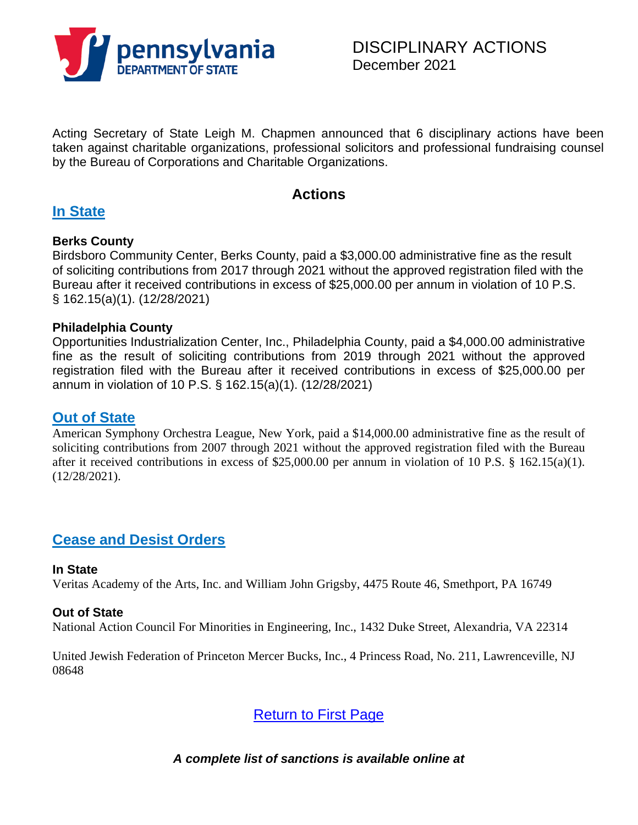

Acting Secretary of State Leigh M. Chapmen announced that 6 disciplinary actions have been taken against charitable organizations, professional solicitors and professional fundraising counsel by the Bureau of Corporations and Charitable Organizations.

# **Actions**

# **In State**

### **Berks County**

Birdsboro Community Center, Berks County, paid a \$3,000.00 administrative fine as the result of soliciting contributions from 2017 through 2021 without the approved registration filed with the Bureau after it received contributions in excess of \$25,000.00 per annum in violation of 10 P.S. § 162.15(a)(1). (12/28/2021)

### **Philadelphia County**

Opportunities Industrialization Center, Inc., Philadelphia County, paid a \$4,000.00 administrative fine as the result of soliciting contributions from 2019 through 2021 without the approved registration filed with the Bureau after it received contributions in excess of \$25,000.00 per annum in violation of 10 P.S. § 162.15(a)(1). (12/28/2021)

## **Out of State**

American Symphony Orchestra League, New York, paid a \$14,000.00 administrative fine as the result of soliciting contributions from 2007 through 2021 without the approved registration filed with the Bureau after it received contributions in excess of \$25,000.00 per annum in violation of 10 P.S. § 162.15(a)(1). (12/28/2021).

# **Cease and Desist Orders**

#### **In State**

Veritas Academy of the Arts, Inc. and William John Grigsby, 4475 Route 46, Smethport, PA 16749

### **Out of State**

National Action Council For Minorities in Engineering, Inc., 1432 Duke Street, Alexandria, VA 22314

United Jewish Federation of Princeton Mercer Bucks, Inc., 4 Princess Road, No. 211, Lawrenceville, NJ 08648

Return to First Page

*A complete list of sanctions is available online at*